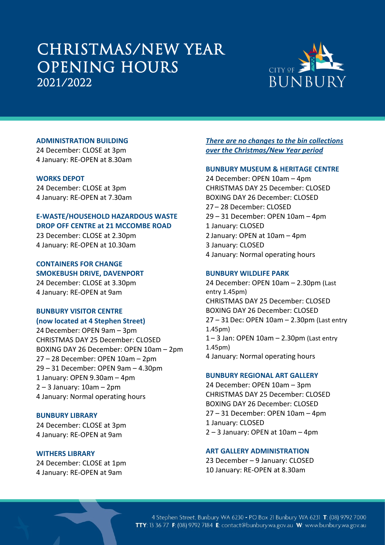# CHRISTMAS/NEW YEAR OPENING HOURS 2021/2022



#### **ADMINISTRATION BUILDING**

24 December: CLOSE at 3pm 4 January: RE-OPEN at 8.30am

#### **WORKS DEPOT**

24 December: CLOSE at 3pm 4 January: RE-OPEN at 7.30am

#### **E-WASTE/HOUSEHOLD HAZARDOUS WASTE DROP OFF CENTRE at 21 MCCOMBE ROAD**

23 December: CLOSE at 2.30pm 4 January: RE-OPEN at 10.30am

**CONTAINERS FOR CHANGE SMOKEBUSH DRIVE, DAVENPORT** 24 December: CLOSE at 3.30pm 4 January: RE-OPEN at 9am

## **BUNBURY VISITOR CENTRE (now located at 4 Stephen Street)**

24December: OPEN 9am – 3pm CHRISTMAS DAY 25 December: CLOSED BOXING DAY 26 December: OPEN 10am – 2pm 27 – 28 December: OPEN 10am – 2pm 29 – 31 December: OPEN 9am – 4.30pm 1 January: OPEN 9.30am – 4pm 2 – 3 January: 10am – 2pm 4 January: Normal operating hours

#### **BUNBURY LIBRARY**

24 December: CLOSE at 3pm 4 January: RE-OPEN at 9am

#### **WITHERS LIBRARY**

24 December: CLOSE at 1pm 4 January: RE-OPEN at 9am

*There are no changes to the bin collections over the Christmas/New Year period*

#### **BUNBURY MUSEUM & HERITAGE CENTRE**

24 December: OPEN 10am – 4pm CHRISTMAS DAY 25 December: CLOSED BOXING DAY 26 December: CLOSED 27 – 28 December: CLOSED 29 – 31 December: OPEN 10am – 4pm 1 January: CLOSED 2 January: OPEN at 10am – 4pm 3 January: CLOSED 4 January: Normal operating hours

### **BUNBURY WILDLIFE PARK**

24 December: OPEN 10am – 2.30pm (Last entry 1.45pm) CHRISTMAS DAY 25 December: CLOSED BOXING DAY 26 December: CLOSED 27 – 31Dec: OPEN 10am – 2.30pm (Last entry 1.45pm) 1 – 3 Jan: OPEN 10am – 2.30pm (Last entry 1.45pm) 4 January: Normal operating hours

#### **BUNBURY REGIONAL ART GALLERY**

24 December: OPEN 10am – 3pm CHRISTMAS DAY 25 December: CLOSED BOXING DAY 26 December: CLOSED 27 – 31 December: OPEN 10am – 4pm 1 January: CLOSED 2 – 3 January: OPEN at 10am – 4pm

### **ART GALLERY ADMINISTRATION**

23 December – 9 January: CLOSED 10 January: RE-OPEN at 8.30am

4 Stephen Street, Bunbury WA 6230 - PO Box 21 Bunbury WA 6231 T: (08) 9792 7000 TTY: 13 36 77 F: (08) 9792 7184 E: contact@bunbury.wa.gov.au W: www.bunbury.wa.gov.au